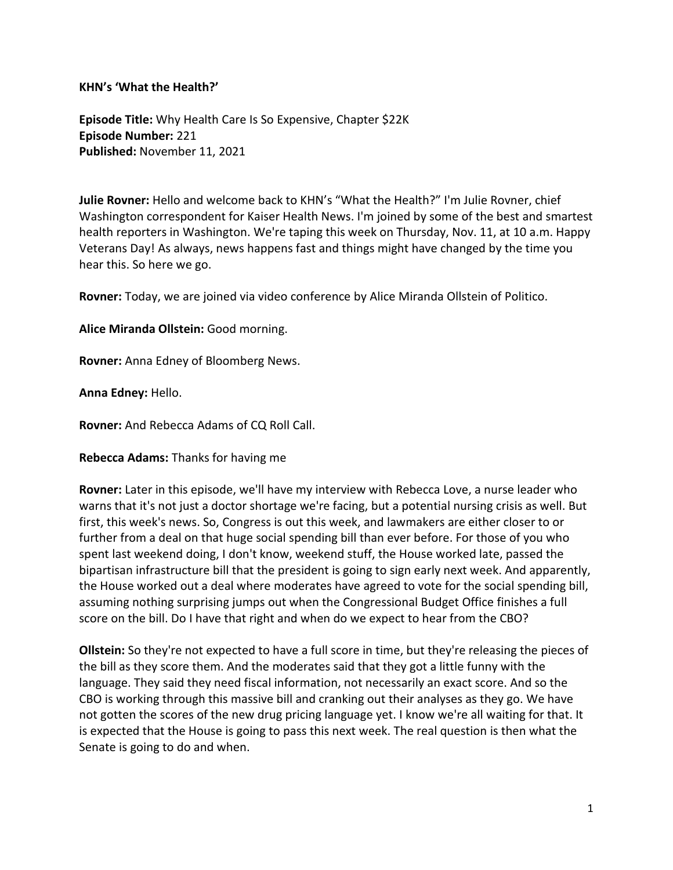**KHN's 'What the Health?'**

**Episode Title:** Why Health Care Is So Expensive, Chapter \$22K **Episode Number:** 221 **Published:** November 11, 2021

**Julie Rovner:** Hello and welcome back to KHN's "What the Health?" I'm Julie Rovner, chief Washington correspondent for Kaiser Health News. I'm joined by some of the best and smartest health reporters in Washington. We're taping this week on Thursday, Nov. 11, at 10 a.m. Happy Veterans Day! As always, news happens fast and things might have changed by the time you hear this. So here we go.

**Rovner:** Today, we are joined via video conference by Alice Miranda Ollstein of Politico.

**Alice Miranda Ollstein:** Good morning.

**Rovner:** Anna Edney of Bloomberg News.

**Anna Edney:** Hello.

**Rovner:** And Rebecca Adams of CQ Roll Call.

**Rebecca Adams:** Thanks for having me

**Rovner:** Later in this episode, we'll have my interview with Rebecca Love, a nurse leader who warns that it's not just a doctor shortage we're facing, but a potential nursing crisis as well. But first, this week's news. So, Congress is out this week, and lawmakers are either closer to or further from a deal on that huge social spending bill than ever before. For those of you who spent last weekend doing, I don't know, weekend stuff, the House worked late, passed the bipartisan infrastructure bill that the president is going to sign early next week. And apparently, the House worked out a deal where moderates have agreed to vote for the social spending bill, assuming nothing surprising jumps out when the Congressional Budget Office finishes a full score on the bill. Do I have that right and when do we expect to hear from the CBO?

**Ollstein:** So they're not expected to have a full score in time, but they're releasing the pieces of the bill as they score them. And the moderates said that they got a little funny with the language. They said they need fiscal information, not necessarily an exact score. And so the CBO is working through this massive bill and cranking out their analyses as they go. We have not gotten the scores of the new drug pricing language yet. I know we're all waiting for that. It is expected that the House is going to pass this next week. The real question is then what the Senate is going to do and when.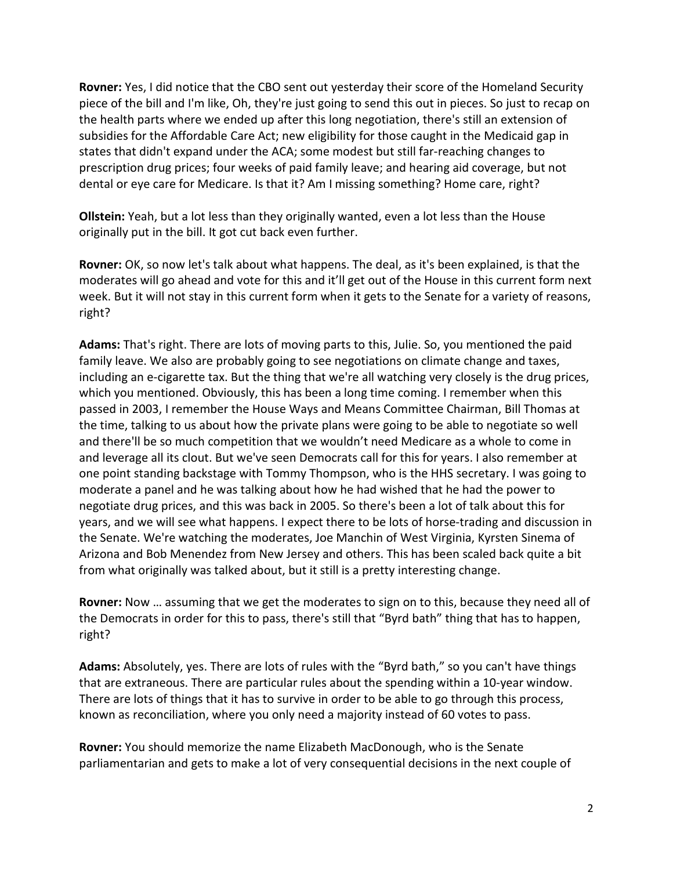**Rovner:** Yes, I did notice that the CBO sent out yesterday their score of the Homeland Security piece of the bill and I'm like, Oh, they're just going to send this out in pieces. So just to recap on the health parts where we ended up after this long negotiation, there's still an extension of subsidies for the Affordable Care Act; new eligibility for those caught in the Medicaid gap in states that didn't expand under the ACA; some modest but still far-reaching changes to prescription drug prices; four weeks of paid family leave; and hearing aid coverage, but not dental or eye care for Medicare. Is that it? Am I missing something? Home care, right?

**Ollstein:** Yeah, but a lot less than they originally wanted, even a lot less than the House originally put in the bill. It got cut back even further.

**Rovner:** OK, so now let's talk about what happens. The deal, as it's been explained, is that the moderates will go ahead and vote for this and it'll get out of the House in this current form next week. But it will not stay in this current form when it gets to the Senate for a variety of reasons, right?

**Adams:** That's right. There are lots of moving parts to this, Julie. So, you mentioned the paid family leave. We also are probably going to see negotiations on climate change and taxes, including an e-cigarette tax. But the thing that we're all watching very closely is the drug prices, which you mentioned. Obviously, this has been a long time coming. I remember when this passed in 2003, I remember the House Ways and Means Committee Chairman, Bill Thomas at the time, talking to us about how the private plans were going to be able to negotiate so well and there'll be so much competition that we wouldn't need Medicare as a whole to come in and leverage all its clout. But we've seen Democrats call for this for years. I also remember at one point standing backstage with Tommy Thompson, who is the HHS secretary. I was going to moderate a panel and he was talking about how he had wished that he had the power to negotiate drug prices, and this was back in 2005. So there's been a lot of talk about this for years, and we will see what happens. I expect there to be lots of horse-trading and discussion in the Senate. We're watching the moderates, Joe Manchin of West Virginia, Kyrsten Sinema of Arizona and Bob Menendez from New Jersey and others. This has been scaled back quite a bit from what originally was talked about, but it still is a pretty interesting change.

**Rovner:** Now … assuming that we get the moderates to sign on to this, because they need all of the Democrats in order for this to pass, there's still that "Byrd bath" thing that has to happen, right?

**Adams:** Absolutely, yes. There are lots of rules with the "Byrd bath," so you can't have things that are extraneous. There are particular rules about the spending within a 10-year window. There are lots of things that it has to survive in order to be able to go through this process, known as reconciliation, where you only need a majority instead of 60 votes to pass.

**Rovner:** You should memorize the name Elizabeth MacDonough, who is the Senate parliamentarian and gets to make a lot of very consequential decisions in the next couple of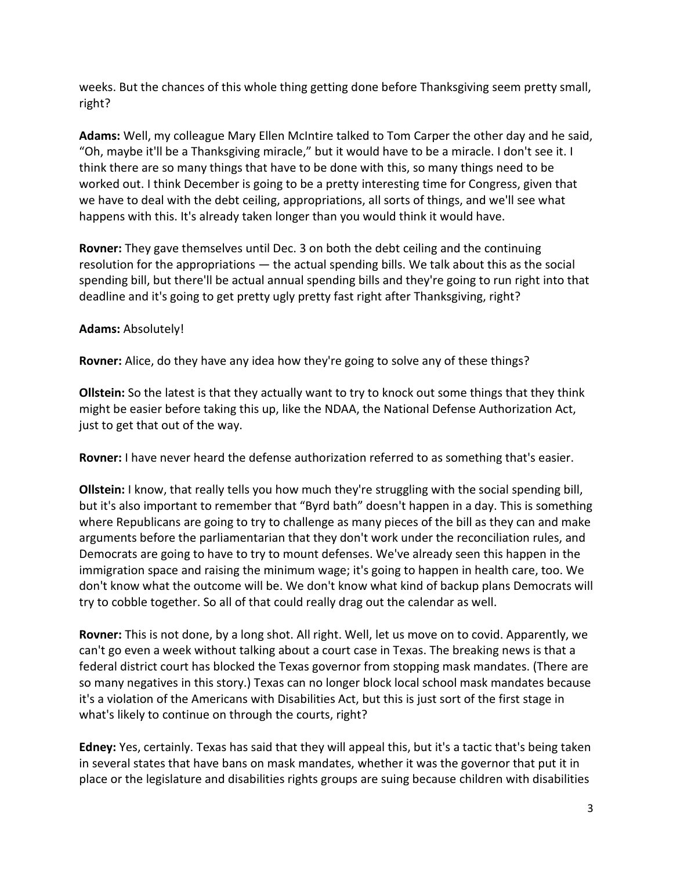weeks. But the chances of this whole thing getting done before Thanksgiving seem pretty small, right?

**Adams:** Well, my colleague Mary Ellen McIntire talked to Tom Carper the other day and he said, "Oh, maybe it'll be a Thanksgiving miracle," but it would have to be a miracle. I don't see it. I think there are so many things that have to be done with this, so many things need to be worked out. I think December is going to be a pretty interesting time for Congress, given that we have to deal with the debt ceiling, appropriations, all sorts of things, and we'll see what happens with this. It's already taken longer than you would think it would have.

**Rovner:** They gave themselves until Dec. 3 on both the debt ceiling and the continuing resolution for the appropriations — the actual spending bills. We talk about this as the social spending bill, but there'll be actual annual spending bills and they're going to run right into that deadline and it's going to get pretty ugly pretty fast right after Thanksgiving, right?

## **Adams:** Absolutely!

**Rovner:** Alice, do they have any idea how they're going to solve any of these things?

**Ollstein:** So the latest is that they actually want to try to knock out some things that they think might be easier before taking this up, like the NDAA, the National Defense Authorization Act, just to get that out of the way.

**Rovner:** I have never heard the defense authorization referred to as something that's easier.

**Ollstein:** I know, that really tells you how much they're struggling with the social spending bill, but it's also important to remember that "Byrd bath" doesn't happen in a day. This is something where Republicans are going to try to challenge as many pieces of the bill as they can and make arguments before the parliamentarian that they don't work under the reconciliation rules, and Democrats are going to have to try to mount defenses. We've already seen this happen in the immigration space and raising the minimum wage; it's going to happen in health care, too. We don't know what the outcome will be. We don't know what kind of backup plans Democrats will try to cobble together. So all of that could really drag out the calendar as well.

**Rovner:** This is not done, by a long shot. All right. Well, let us move on to covid. Apparently, we can't go even a week without talking about a court case in Texas. The breaking news is that a federal district court has blocked the Texas governor from stopping mask mandates. (There are so many negatives in this story.) Texas can no longer block local school mask mandates because it's a violation of the Americans with Disabilities Act, but this is just sort of the first stage in what's likely to continue on through the courts, right?

**Edney:** Yes, certainly. Texas has said that they will appeal this, but it's a tactic that's being taken in several states that have bans on mask mandates, whether it was the governor that put it in place or the legislature and disabilities rights groups are suing because children with disabilities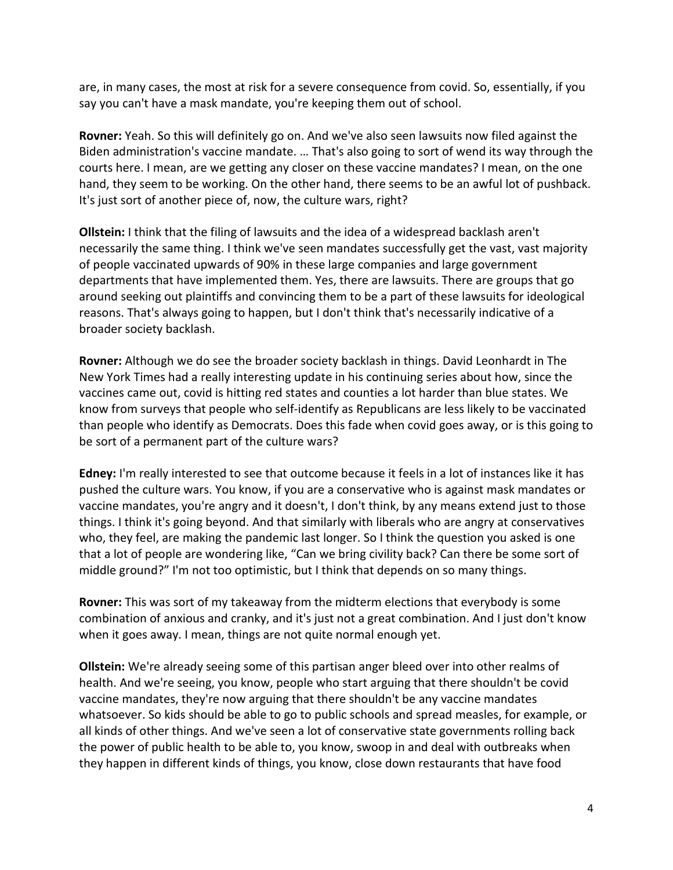are, in many cases, the most at risk for a severe consequence from covid. So, essentially, if you say you can't have a mask mandate, you're keeping them out of school.

**Rovner:** Yeah. So this will definitely go on. And we've also seen lawsuits now filed against the Biden administration's vaccine mandate. … That's also going to sort of wend its way through the courts here. I mean, are we getting any closer on these vaccine mandates? I mean, on the one hand, they seem to be working. On the other hand, there seems to be an awful lot of pushback. It's just sort of another piece of, now, the culture wars, right?

**Ollstein:** I think that the filing of lawsuits and the idea of a widespread backlash aren't necessarily the same thing. I think we've seen mandates successfully get the vast, vast majority of people vaccinated upwards of 90% in these large companies and large government departments that have implemented them. Yes, there are lawsuits. There are groups that go around seeking out plaintiffs and convincing them to be a part of these lawsuits for ideological reasons. That's always going to happen, but I don't think that's necessarily indicative of a broader society backlash.

**Rovner:** Although we do see the broader society backlash in things. David Leonhardt in The New York Times had a really interesting update in his continuing series about how, since the vaccines came out, covid is hitting red states and counties a lot harder than blue states. We know from surveys that people who self-identify as Republicans are less likely to be vaccinated than people who identify as Democrats. Does this fade when covid goes away, or is this going to be sort of a permanent part of the culture wars?

**Edney:** I'm really interested to see that outcome because it feels in a lot of instances like it has pushed the culture wars. You know, if you are a conservative who is against mask mandates or vaccine mandates, you're angry and it doesn't, I don't think, by any means extend just to those things. I think it's going beyond. And that similarly with liberals who are angry at conservatives who, they feel, are making the pandemic last longer. So I think the question you asked is one that a lot of people are wondering like, "Can we bring civility back? Can there be some sort of middle ground?" I'm not too optimistic, but I think that depends on so many things.

**Rovner:** This was sort of my takeaway from the midterm elections that everybody is some combination of anxious and cranky, and it's just not a great combination. And I just don't know when it goes away. I mean, things are not quite normal enough yet.

**Ollstein:** We're already seeing some of this partisan anger bleed over into other realms of health. And we're seeing, you know, people who start arguing that there shouldn't be covid vaccine mandates, they're now arguing that there shouldn't be any vaccine mandates whatsoever. So kids should be able to go to public schools and spread measles, for example, or all kinds of other things. And we've seen a lot of conservative state governments rolling back the power of public health to be able to, you know, swoop in and deal with outbreaks when they happen in different kinds of things, you know, close down restaurants that have food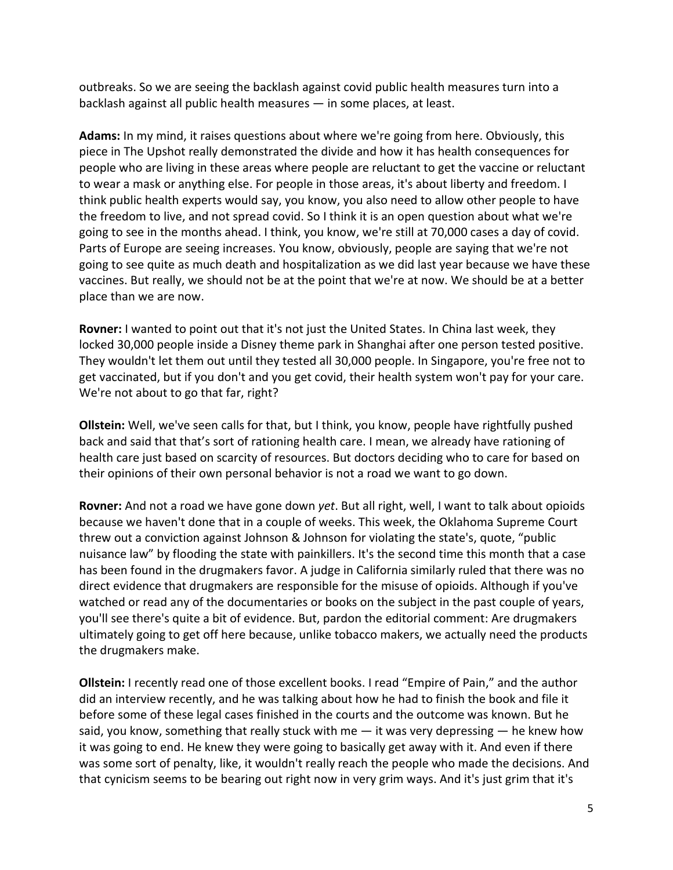outbreaks. So we are seeing the backlash against covid public health measures turn into a backlash against all public health measures — in some places, at least.

**Adams:** In my mind, it raises questions about where we're going from here. Obviously, this piece in The Upshot really demonstrated the divide and how it has health consequences for people who are living in these areas where people are reluctant to get the vaccine or reluctant to wear a mask or anything else. For people in those areas, it's about liberty and freedom. I think public health experts would say, you know, you also need to allow other people to have the freedom to live, and not spread covid. So I think it is an open question about what we're going to see in the months ahead. I think, you know, we're still at 70,000 cases a day of covid. Parts of Europe are seeing increases. You know, obviously, people are saying that we're not going to see quite as much death and hospitalization as we did last year because we have these vaccines. But really, we should not be at the point that we're at now. We should be at a better place than we are now.

**Rovner:** I wanted to point out that it's not just the United States. In China last week, they locked 30,000 people inside a Disney theme park in Shanghai after one person tested positive. They wouldn't let them out until they tested all 30,000 people. In Singapore, you're free not to get vaccinated, but if you don't and you get covid, their health system won't pay for your care. We're not about to go that far, right?

**Ollstein:** Well, we've seen calls for that, but I think, you know, people have rightfully pushed back and said that that's sort of rationing health care. I mean, we already have rationing of health care just based on scarcity of resources. But doctors deciding who to care for based on their opinions of their own personal behavior is not a road we want to go down.

**Rovner:** And not a road we have gone down *yet*. But all right, well, I want to talk about opioids because we haven't done that in a couple of weeks. This week, the Oklahoma Supreme Court threw out a conviction against Johnson & Johnson for violating the state's, quote, "public nuisance law" by flooding the state with painkillers. It's the second time this month that a case has been found in the drugmakers favor. A judge in California similarly ruled that there was no direct evidence that drugmakers are responsible for the misuse of opioids. Although if you've watched or read any of the documentaries or books on the subject in the past couple of years, you'll see there's quite a bit of evidence. But, pardon the editorial comment: Are drugmakers ultimately going to get off here because, unlike tobacco makers, we actually need the products the drugmakers make.

**Ollstein:** I recently read one of those excellent books. I read "Empire of Pain," and the author did an interview recently, and he was talking about how he had to finish the book and file it before some of these legal cases finished in the courts and the outcome was known. But he said, you know, something that really stuck with me  $-$  it was very depressing  $-$  he knew how it was going to end. He knew they were going to basically get away with it. And even if there was some sort of penalty, like, it wouldn't really reach the people who made the decisions. And that cynicism seems to be bearing out right now in very grim ways. And it's just grim that it's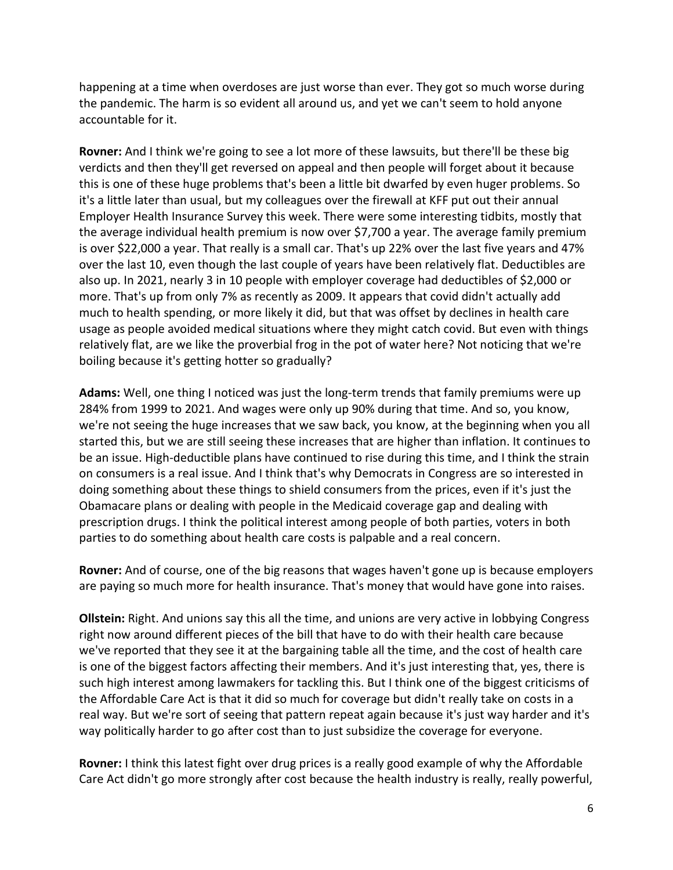happening at a time when overdoses are just worse than ever. They got so much worse during the pandemic. The harm is so evident all around us, and yet we can't seem to hold anyone accountable for it.

**Rovner:** And I think we're going to see a lot more of these lawsuits, but there'll be these big verdicts and then they'll get reversed on appeal and then people will forget about it because this is one of these huge problems that's been a little bit dwarfed by even huger problems. So it's a little later than usual, but my colleagues over the firewall at KFF put out their annual Employer Health Insurance Survey this week. There were some interesting tidbits, mostly that the average individual health premium is now over \$7,700 a year. The average family premium is over \$22,000 a year. That really is a small car. That's up 22% over the last five years and 47% over the last 10, even though the last couple of years have been relatively flat. Deductibles are also up. In 2021, nearly 3 in 10 people with employer coverage had deductibles of \$2,000 or more. That's up from only 7% as recently as 2009. It appears that covid didn't actually add much to health spending, or more likely it did, but that was offset by declines in health care usage as people avoided medical situations where they might catch covid. But even with things relatively flat, are we like the proverbial frog in the pot of water here? Not noticing that we're boiling because it's getting hotter so gradually?

**Adams:** Well, one thing I noticed was just the long-term trends that family premiums were up 284% from 1999 to 2021. And wages were only up 90% during that time. And so, you know, we're not seeing the huge increases that we saw back, you know, at the beginning when you all started this, but we are still seeing these increases that are higher than inflation. It continues to be an issue. High-deductible plans have continued to rise during this time, and I think the strain on consumers is a real issue. And I think that's why Democrats in Congress are so interested in doing something about these things to shield consumers from the prices, even if it's just the Obamacare plans or dealing with people in the Medicaid coverage gap and dealing with prescription drugs. I think the political interest among people of both parties, voters in both parties to do something about health care costs is palpable and a real concern.

**Rovner:** And of course, one of the big reasons that wages haven't gone up is because employers are paying so much more for health insurance. That's money that would have gone into raises.

**Ollstein:** Right. And unions say this all the time, and unions are very active in lobbying Congress right now around different pieces of the bill that have to do with their health care because we've reported that they see it at the bargaining table all the time, and the cost of health care is one of the biggest factors affecting their members. And it's just interesting that, yes, there is such high interest among lawmakers for tackling this. But I think one of the biggest criticisms of the Affordable Care Act is that it did so much for coverage but didn't really take on costs in a real way. But we're sort of seeing that pattern repeat again because it's just way harder and it's way politically harder to go after cost than to just subsidize the coverage for everyone.

**Rovner:** I think this latest fight over drug prices is a really good example of why the Affordable Care Act didn't go more strongly after cost because the health industry is really, really powerful,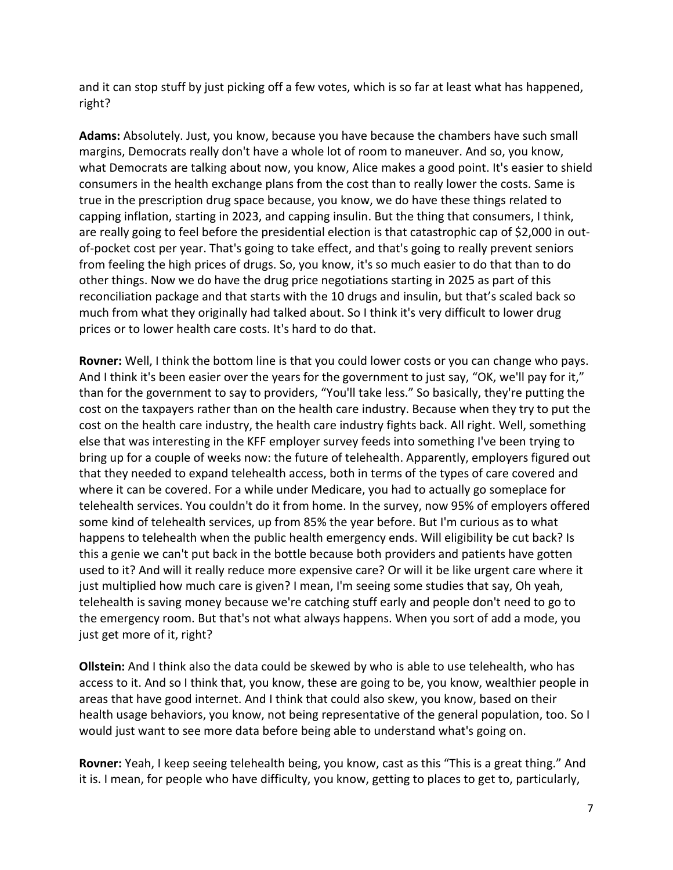and it can stop stuff by just picking off a few votes, which is so far at least what has happened, right?

**Adams:** Absolutely. Just, you know, because you have because the chambers have such small margins, Democrats really don't have a whole lot of room to maneuver. And so, you know, what Democrats are talking about now, you know, Alice makes a good point. It's easier to shield consumers in the health exchange plans from the cost than to really lower the costs. Same is true in the prescription drug space because, you know, we do have these things related to capping inflation, starting in 2023, and capping insulin. But the thing that consumers, I think, are really going to feel before the presidential election is that catastrophic cap of \$2,000 in outof-pocket cost per year. That's going to take effect, and that's going to really prevent seniors from feeling the high prices of drugs. So, you know, it's so much easier to do that than to do other things. Now we do have the drug price negotiations starting in 2025 as part of this reconciliation package and that starts with the 10 drugs and insulin, but that's scaled back so much from what they originally had talked about. So I think it's very difficult to lower drug prices or to lower health care costs. It's hard to do that.

**Rovner:** Well, I think the bottom line is that you could lower costs or you can change who pays. And I think it's been easier over the years for the government to just say, "OK, we'll pay for it," than for the government to say to providers, "You'll take less." So basically, they're putting the cost on the taxpayers rather than on the health care industry. Because when they try to put the cost on the health care industry, the health care industry fights back. All right. Well, something else that was interesting in the KFF employer survey feeds into something I've been trying to bring up for a couple of weeks now: the future of telehealth. Apparently, employers figured out that they needed to expand telehealth access, both in terms of the types of care covered and where it can be covered. For a while under Medicare, you had to actually go someplace for telehealth services. You couldn't do it from home. In the survey, now 95% of employers offered some kind of telehealth services, up from 85% the year before. But I'm curious as to what happens to telehealth when the public health emergency ends. Will eligibility be cut back? Is this a genie we can't put back in the bottle because both providers and patients have gotten used to it? And will it really reduce more expensive care? Or will it be like urgent care where it just multiplied how much care is given? I mean, I'm seeing some studies that say, Oh yeah, telehealth is saving money because we're catching stuff early and people don't need to go to the emergency room. But that's not what always happens. When you sort of add a mode, you just get more of it, right?

**Ollstein:** And I think also the data could be skewed by who is able to use telehealth, who has access to it. And so I think that, you know, these are going to be, you know, wealthier people in areas that have good internet. And I think that could also skew, you know, based on their health usage behaviors, you know, not being representative of the general population, too. So I would just want to see more data before being able to understand what's going on.

**Rovner:** Yeah, I keep seeing telehealth being, you know, cast as this "This is a great thing." And it is. I mean, for people who have difficulty, you know, getting to places to get to, particularly,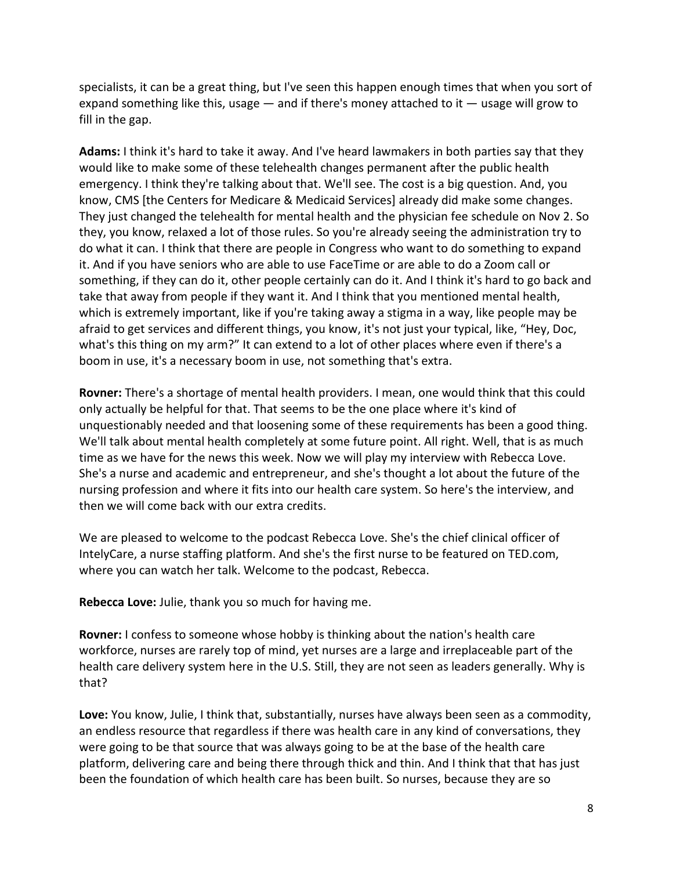specialists, it can be a great thing, but I've seen this happen enough times that when you sort of expand something like this, usage  $-$  and if there's money attached to it  $-$  usage will grow to fill in the gap.

**Adams:** I think it's hard to take it away. And I've heard lawmakers in both parties say that they would like to make some of these telehealth changes permanent after the public health emergency. I think they're talking about that. We'll see. The cost is a big question. And, you know, CMS [the Centers for Medicare & Medicaid Services] already did make some changes. They just changed the telehealth for mental health and the physician fee schedule on Nov 2. So they, you know, relaxed a lot of those rules. So you're already seeing the administration try to do what it can. I think that there are people in Congress who want to do something to expand it. And if you have seniors who are able to use FaceTime or are able to do a Zoom call or something, if they can do it, other people certainly can do it. And I think it's hard to go back and take that away from people if they want it. And I think that you mentioned mental health, which is extremely important, like if you're taking away a stigma in a way, like people may be afraid to get services and different things, you know, it's not just your typical, like, "Hey, Doc, what's this thing on my arm?" It can extend to a lot of other places where even if there's a boom in use, it's a necessary boom in use, not something that's extra.

**Rovner:** There's a shortage of mental health providers. I mean, one would think that this could only actually be helpful for that. That seems to be the one place where it's kind of unquestionably needed and that loosening some of these requirements has been a good thing. We'll talk about mental health completely at some future point. All right. Well, that is as much time as we have for the news this week. Now we will play my interview with Rebecca Love. She's a nurse and academic and entrepreneur, and she's thought a lot about the future of the nursing profession and where it fits into our health care system. So here's the interview, and then we will come back with our extra credits.

We are pleased to welcome to the podcast Rebecca Love. She's the chief clinical officer of IntelyCare, a nurse staffing platform. And she's the first nurse to be featured on TED.com, where you can watch her talk. Welcome to the podcast, Rebecca.

**Rebecca Love:** Julie, thank you so much for having me.

**Rovner:** I confess to someone whose hobby is thinking about the nation's health care workforce, nurses are rarely top of mind, yet nurses are a large and irreplaceable part of the health care delivery system here in the U.S. Still, they are not seen as leaders generally. Why is that?

**Love:** You know, Julie, I think that, substantially, nurses have always been seen as a commodity, an endless resource that regardless if there was health care in any kind of conversations, they were going to be that source that was always going to be at the base of the health care platform, delivering care and being there through thick and thin. And I think that that has just been the foundation of which health care has been built. So nurses, because they are so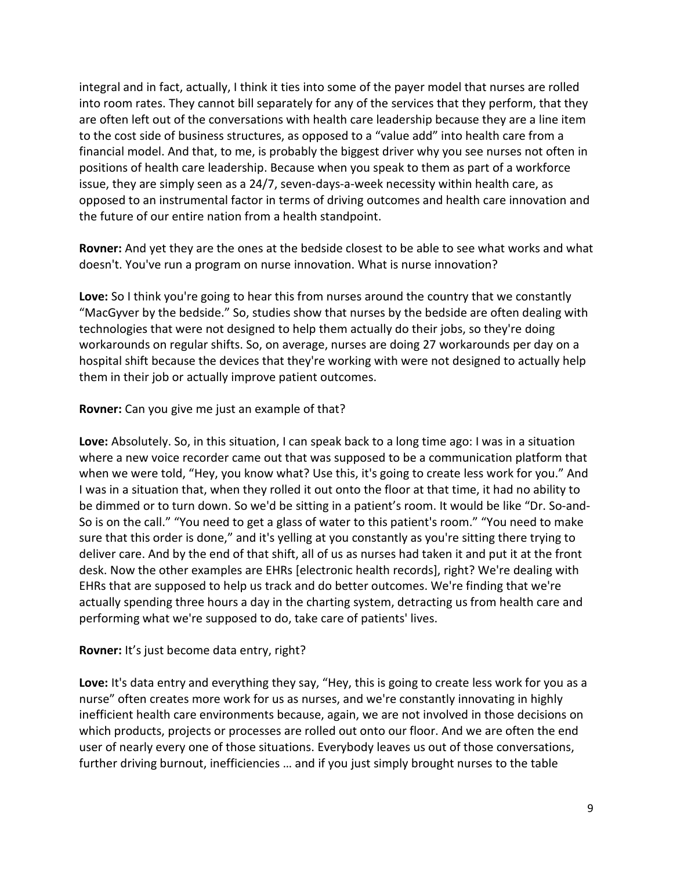integral and in fact, actually, I think it ties into some of the payer model that nurses are rolled into room rates. They cannot bill separately for any of the services that they perform, that they are often left out of the conversations with health care leadership because they are a line item to the cost side of business structures, as opposed to a "value add" into health care from a financial model. And that, to me, is probably the biggest driver why you see nurses not often in positions of health care leadership. Because when you speak to them as part of a workforce issue, they are simply seen as a 24/7, seven-days-a-week necessity within health care, as opposed to an instrumental factor in terms of driving outcomes and health care innovation and the future of our entire nation from a health standpoint.

**Rovner:** And yet they are the ones at the bedside closest to be able to see what works and what doesn't. You've run a program on nurse innovation. What is nurse innovation?

**Love:** So I think you're going to hear this from nurses around the country that we constantly "MacGyver by the bedside." So, studies show that nurses by the bedside are often dealing with technologies that were not designed to help them actually do their jobs, so they're doing workarounds on regular shifts. So, on average, nurses are doing 27 workarounds per day on a hospital shift because the devices that they're working with were not designed to actually help them in their job or actually improve patient outcomes.

## **Rovner:** Can you give me just an example of that?

**Love:** Absolutely. So, in this situation, I can speak back to a long time ago: I was in a situation where a new voice recorder came out that was supposed to be a communication platform that when we were told, "Hey, you know what? Use this, it's going to create less work for you." And I was in a situation that, when they rolled it out onto the floor at that time, it had no ability to be dimmed or to turn down. So we'd be sitting in a patient's room. It would be like "Dr. So-and-So is on the call." "You need to get a glass of water to this patient's room." "You need to make sure that this order is done," and it's yelling at you constantly as you're sitting there trying to deliver care. And by the end of that shift, all of us as nurses had taken it and put it at the front desk. Now the other examples are EHRs [electronic health records], right? We're dealing with EHRs that are supposed to help us track and do better outcomes. We're finding that we're actually spending three hours a day in the charting system, detracting us from health care and performing what we're supposed to do, take care of patients' lives.

## **Rovner:** It's just become data entry, right?

**Love:** It's data entry and everything they say, "Hey, this is going to create less work for you as a nurse" often creates more work for us as nurses, and we're constantly innovating in highly inefficient health care environments because, again, we are not involved in those decisions on which products, projects or processes are rolled out onto our floor. And we are often the end user of nearly every one of those situations. Everybody leaves us out of those conversations, further driving burnout, inefficiencies … and if you just simply brought nurses to the table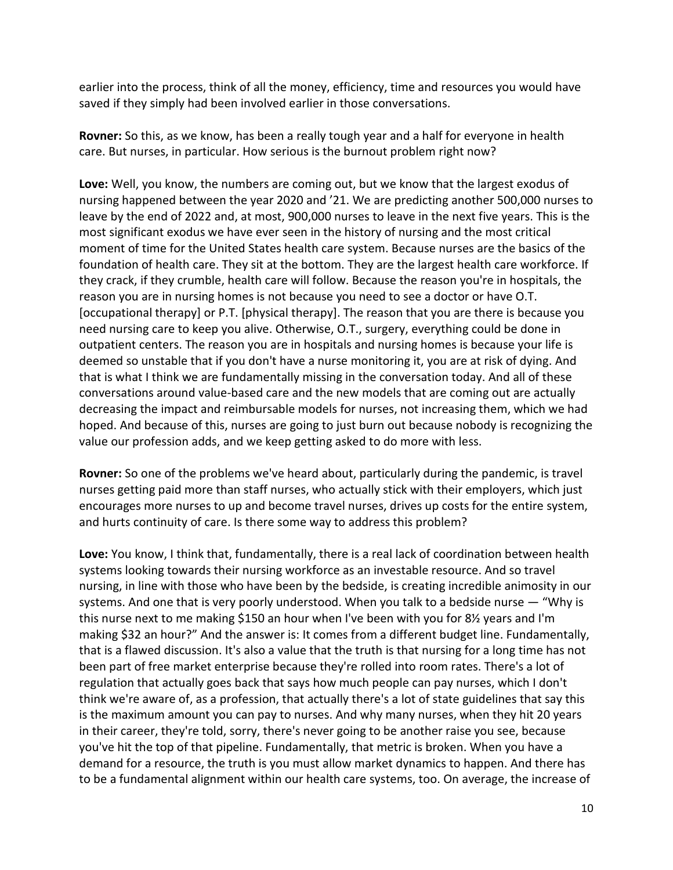earlier into the process, think of all the money, efficiency, time and resources you would have saved if they simply had been involved earlier in those conversations.

**Rovner:** So this, as we know, has been a really tough year and a half for everyone in health care. But nurses, in particular. How serious is the burnout problem right now?

**Love:** Well, you know, the numbers are coming out, but we know that the largest exodus of nursing happened between the year 2020 and '21. We are predicting another 500,000 nurses to leave by the end of 2022 and, at most, 900,000 nurses to leave in the next five years. This is the most significant exodus we have ever seen in the history of nursing and the most critical moment of time for the United States health care system. Because nurses are the basics of the foundation of health care. They sit at the bottom. They are the largest health care workforce. If they crack, if they crumble, health care will follow. Because the reason you're in hospitals, the reason you are in nursing homes is not because you need to see a doctor or have O.T. [occupational therapy] or P.T. [physical therapy]. The reason that you are there is because you need nursing care to keep you alive. Otherwise, O.T., surgery, everything could be done in outpatient centers. The reason you are in hospitals and nursing homes is because your life is deemed so unstable that if you don't have a nurse monitoring it, you are at risk of dying. And that is what I think we are fundamentally missing in the conversation today. And all of these conversations around value-based care and the new models that are coming out are actually decreasing the impact and reimbursable models for nurses, not increasing them, which we had hoped. And because of this, nurses are going to just burn out because nobody is recognizing the value our profession adds, and we keep getting asked to do more with less.

**Rovner:** So one of the problems we've heard about, particularly during the pandemic, is travel nurses getting paid more than staff nurses, who actually stick with their employers, which just encourages more nurses to up and become travel nurses, drives up costs for the entire system, and hurts continuity of care. Is there some way to address this problem?

**Love:** You know, I think that, fundamentally, there is a real lack of coordination between health systems looking towards their nursing workforce as an investable resource. And so travel nursing, in line with those who have been by the bedside, is creating incredible animosity in our systems. And one that is very poorly understood. When you talk to a bedside nurse — "Why is this nurse next to me making \$150 an hour when I've been with you for 8½ years and I'm making \$32 an hour?" And the answer is: It comes from a different budget line. Fundamentally, that is a flawed discussion. It's also a value that the truth is that nursing for a long time has not been part of free market enterprise because they're rolled into room rates. There's a lot of regulation that actually goes back that says how much people can pay nurses, which I don't think we're aware of, as a profession, that actually there's a lot of state guidelines that say this is the maximum amount you can pay to nurses. And why many nurses, when they hit 20 years in their career, they're told, sorry, there's never going to be another raise you see, because you've hit the top of that pipeline. Fundamentally, that metric is broken. When you have a demand for a resource, the truth is you must allow market dynamics to happen. And there has to be a fundamental alignment within our health care systems, too. On average, the increase of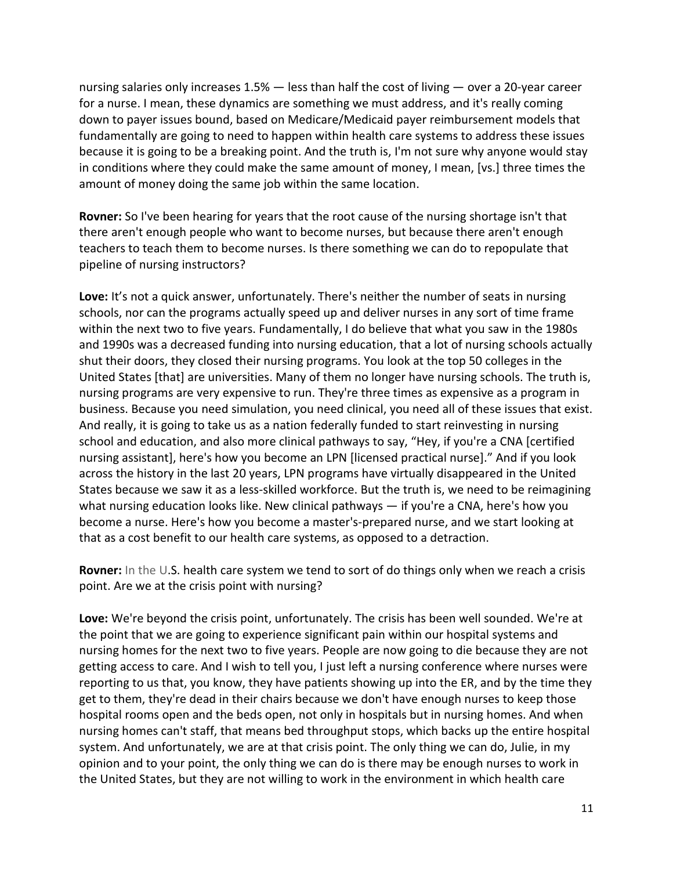nursing salaries only increases 1.5% — less than half the cost of living — over a 20-year career for a nurse. I mean, these dynamics are something we must address, and it's really coming down to payer issues bound, based on Medicare/Medicaid payer reimbursement models that fundamentally are going to need to happen within health care systems to address these issues because it is going to be a breaking point. And the truth is, I'm not sure why anyone would stay in conditions where they could make the same amount of money, I mean, [vs.] three times the amount of money doing the same job within the same location.

**Rovner:** So I've been hearing for years that the root cause of the nursing shortage isn't that there aren't enough people who want to become nurses, but because there aren't enough teachers to teach them to become nurses. Is there something we can do to repopulate that pipeline of nursing instructors?

**Love:** It's not a quick answer, unfortunately. There's neither the number of seats in nursing schools, nor can the programs actually speed up and deliver nurses in any sort of time frame within the next two to five years. Fundamentally, I do believe that what you saw in the 1980s and 1990s was a decreased funding into nursing education, that a lot of nursing schools actually shut their doors, they closed their nursing programs. You look at the top 50 colleges in the United States [that] are universities. Many of them no longer have nursing schools. The truth is, nursing programs are very expensive to run. They're three times as expensive as a program in business. Because you need simulation, you need clinical, you need all of these issues that exist. And really, it is going to take us as a nation federally funded to start reinvesting in nursing school and education, and also more clinical pathways to say, "Hey, if you're a CNA [certified nursing assistant], here's how you become an LPN [licensed practical nurse]." And if you look across the history in the last 20 years, LPN programs have virtually disappeared in the United States because we saw it as a less-skilled workforce. But the truth is, we need to be reimagining what nursing education looks like. New clinical pathways — if you're a CNA, here's how you become a nurse. Here's how you become a master's-prepared nurse, and we start looking at that as a cost benefit to our health care systems, as opposed to a detraction.

**Rovner:** In the U.S. health care system we tend to sort of do things only when we reach a crisis point. Are we at the crisis point with nursing?

**Love:** We're beyond the crisis point, unfortunately. The crisis has been well sounded. We're at the point that we are going to experience significant pain within our hospital systems and nursing homes for the next two to five years. People are now going to die because they are not getting access to care. And I wish to tell you, I just left a nursing conference where nurses were reporting to us that, you know, they have patients showing up into the ER, and by the time they get to them, they're dead in their chairs because we don't have enough nurses to keep those hospital rooms open and the beds open, not only in hospitals but in nursing homes. And when nursing homes can't staff, that means bed throughput stops, which backs up the entire hospital system. And unfortunately, we are at that crisis point. The only thing we can do, Julie, in my opinion and to your point, the only thing we can do is there may be enough nurses to work in the United States, but they are not willing to work in the environment in which health care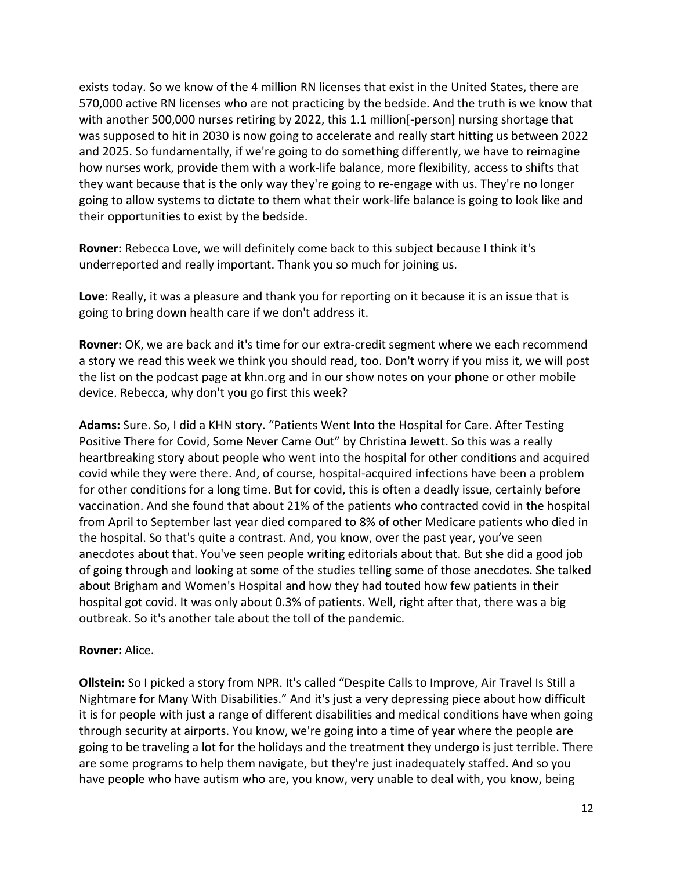exists today. So we know of the 4 million RN licenses that exist in the United States, there are 570,000 active RN licenses who are not practicing by the bedside. And the truth is we know that with another 500,000 nurses retiring by 2022, this 1.1 million[-person] nursing shortage that was supposed to hit in 2030 is now going to accelerate and really start hitting us between 2022 and 2025. So fundamentally, if we're going to do something differently, we have to reimagine how nurses work, provide them with a work-life balance, more flexibility, access to shifts that they want because that is the only way they're going to re-engage with us. They're no longer going to allow systems to dictate to them what their work-life balance is going to look like and their opportunities to exist by the bedside.

**Rovner:** Rebecca Love, we will definitely come back to this subject because I think it's underreported and really important. Thank you so much for joining us.

**Love:** Really, it was a pleasure and thank you for reporting on it because it is an issue that is going to bring down health care if we don't address it.

**Rovner:** OK, we are back and it's time for our extra-credit segment where we each recommend a story we read this week we think you should read, too. Don't worry if you miss it, we will post the list on the podcast page at khn.org and in our show notes on your phone or other mobile device. Rebecca, why don't you go first this week?

**Adams:** Sure. So, I did a KHN story. "Patients Went Into the Hospital for Care. After Testing Positive There for Covid, Some Never Came Out" by Christina Jewett. So this was a really heartbreaking story about people who went into the hospital for other conditions and acquired covid while they were there. And, of course, hospital-acquired infections have been a problem for other conditions for a long time. But for covid, this is often a deadly issue, certainly before vaccination. And she found that about 21% of the patients who contracted covid in the hospital from April to September last year died compared to 8% of other Medicare patients who died in the hospital. So that's quite a contrast. And, you know, over the past year, you've seen anecdotes about that. You've seen people writing editorials about that. But she did a good job of going through and looking at some of the studies telling some of those anecdotes. She talked about Brigham and Women's Hospital and how they had touted how few patients in their hospital got covid. It was only about 0.3% of patients. Well, right after that, there was a big outbreak. So it's another tale about the toll of the pandemic.

## **Rovner:** Alice.

**Ollstein:** So I picked a story from NPR. It's called "Despite Calls to Improve, Air Travel Is Still a Nightmare for Many With Disabilities." And it's just a very depressing piece about how difficult it is for people with just a range of different disabilities and medical conditions have when going through security at airports. You know, we're going into a time of year where the people are going to be traveling a lot for the holidays and the treatment they undergo is just terrible. There are some programs to help them navigate, but they're just inadequately staffed. And so you have people who have autism who are, you know, very unable to deal with, you know, being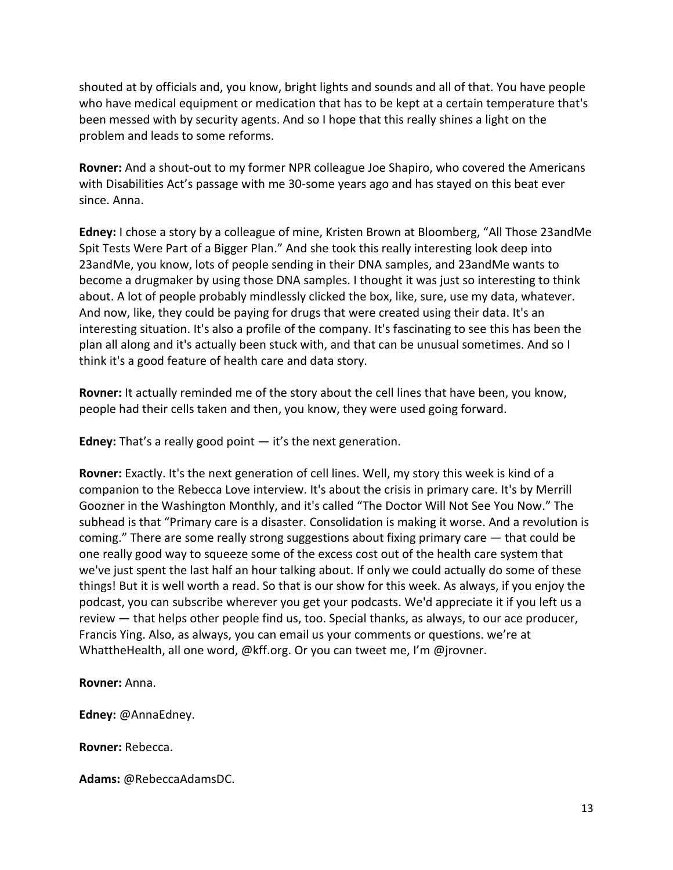shouted at by officials and, you know, bright lights and sounds and all of that. You have people who have medical equipment or medication that has to be kept at a certain temperature that's been messed with by security agents. And so I hope that this really shines a light on the problem and leads to some reforms.

**Rovner:** And a shout-out to my former NPR colleague Joe Shapiro, who covered the Americans with Disabilities Act's passage with me 30-some years ago and has stayed on this beat ever since. Anna.

**Edney:** I chose a story by a colleague of mine, Kristen Brown at Bloomberg, "All Those 23andMe Spit Tests Were Part of a Bigger Plan." And she took this really interesting look deep into 23andMe, you know, lots of people sending in their DNA samples, and 23andMe wants to become a drugmaker by using those DNA samples. I thought it was just so interesting to think about. A lot of people probably mindlessly clicked the box, like, sure, use my data, whatever. And now, like, they could be paying for drugs that were created using their data. It's an interesting situation. It's also a profile of the company. It's fascinating to see this has been the plan all along and it's actually been stuck with, and that can be unusual sometimes. And so I think it's a good feature of health care and data story.

**Rovner:** It actually reminded me of the story about the cell lines that have been, you know, people had their cells taken and then, you know, they were used going forward.

**Edney:** That's a really good point — it's the next generation.

**Rovner:** Exactly. It's the next generation of cell lines. Well, my story this week is kind of a companion to the Rebecca Love interview. It's about the crisis in primary care. It's by Merrill Goozner in the Washington Monthly, and it's called "The Doctor Will Not See You Now." The subhead is that "Primary care is a disaster. Consolidation is making it worse. And a revolution is coming." There are some really strong suggestions about fixing primary care — that could be one really good way to squeeze some of the excess cost out of the health care system that we've just spent the last half an hour talking about. If only we could actually do some of these things! But it is well worth a read. So that is our show for this week. As always, if you enjoy the podcast, you can subscribe wherever you get your podcasts. We'd appreciate it if you left us a review — that helps other people find us, too. Special thanks, as always, to our ace producer, Francis Ying. Also, as always, you can email us your comments or questions. we're at WhattheHealth, all one word, @kff.org. Or you can tweet me, I'm @jrovner.

**Rovner:** Anna.

**Edney:** @AnnaEdney.

**Rovner:** Rebecca.

**Adams:** @RebeccaAdamsDC.